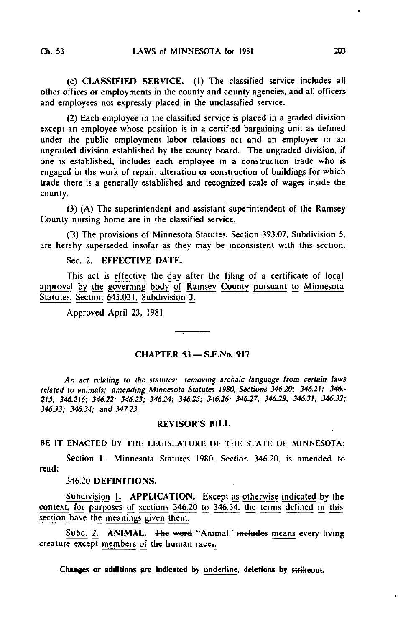(c) CLASSIFIED SERVICE. (1) The classified service includes all other offices or employments in the county and county agencies, and all officers and employees not expressly placed in the unclassified service.

(2) Each employee in the classified service is placed in a graded division except an employee whose position is in a certified bargaining unit as defined under the public employment labor relations act and an employee in an ungraded division established by the county board. The ungraded division, if one is established, includes each employee in a construction trade who is engaged in the work of repair, alteration or construction of buildings for which trade there is a generally established and recognized scale of wages inside the county.

(3) (A) The superintendent and assistant superintendent of the Ramsey County nursing home are in the classified service.

(B) The provisions of Minnesota Statutes, Section 393.07, Subdivision 5, are hereby superseded insofar as they may be inconsistent with this section.

### Sec. 2. EFFECTIVE DATE.

This act is effective the day after the filing of a certificate of local approval by the governing body of Ramsey County pursuant to Minnesota Statutes. Section 645.021. Subdivision 3.

Approved April 23, 1981

# CHAPTER 53 - S.F.No. 917

An act relating to the statutes; removing archaic language from certain laws related to animals; amending Minnesota Statutes 1980, Sections 346.20; 346.21; 346,- 215; 346.216; 346.22; 346.23; 346.24; 346.25; 346.26; 346.27; 346.28; 346.31; 346.32; 346.33; 346.34; and 347.23.

#### REVISOR'S BILL

#### BE IT ENACTED BY THE LEGISLATURE OF THE STATE OF MINNESOTA:

Section I. Minnesota Statutes 1980. Section 346.20, is amended to read:

# 346.20 DEFINITIONS.

•Subdivision ]\_. APPLICATION. Except as otherwise indicated by the context, for purposes of sections 346.20 to 346.34. the terms defined in this section have the meanings given them.

Subd. 2. ANIMAL. The word "Animal" includes means every living creature except members of the human race;.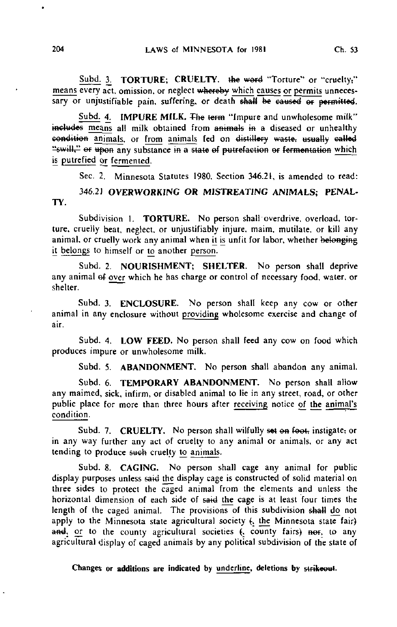Subd. 3. TORTURE; CRUELTY. the word "Torture" or "cruelty;" means every act, omission, or neglect whereby which causes or permits unneces- $\overline{\text{sary}}$  or unjustifiable pain, suffering, or death  $\overline{\text{shall}}$  be caused or permitted.

Subd. 4. IMPURE MILK. The term "Impure and unwholesome milk" includes means all milk obtained from animals in a diseased or unhealthy condition animals, or from animals fed on distillery waste, usually called "swill." er upon any substance in a state of putrefaction or fermentation which is putrefied or fermented.

Sec. 2. Minnesota Statutes 1980, Section 346.21, is amended to read:

346.21 OVERWORKING OR MISTREATING ANIMALS; PENAL-TY.

Subdivision 1. TORTURE. No person shall overdrive, overload, torture, cruelly beat, neglect, or unjustifiably injure, maim, mutilate, or kill any animal, or cruelly work any animal when it is unfit for labor, whether belonging it belongs to himself or to another person.

Subd. 2. NOURISHMENT; SHELTER. No person shall deprive any animal ef over which he has charge or control of necessary food, water, or shelter.

Subd. 3. **ENCLOSURE.** No person shall keep any cow or other animal in any enclosure without providing wholesome exercise and change of air.

Subd. 4. LOW FEED. No person shall feed any cow on food which produces impure or unwholesome milk.

Subd. 5. ABANDONMENT, No person shall abandon any animal.

Subd. 6. TEMPORARY ABANDONMENT. No person shall allow any maimed, sick, infirm, or disabled animal to lie in any street, road, or other public place for more than three hours after receiving notice of the animal's condition.

Subd. 7. CRUELTY. No person shall wilfully set on foot, instigate, or in any way further any act of cruelty to any animal or animals, or any act tending to produce such cruelty to animals.

Subd. 8. CAGING. No person shall cage any animal for public display purposes unless said the display cage is constructed of solid material on three sides to protect the caged animal from the elements and unless the horizontal dimension of each side of said the cage is at least four times the length of the caged animal. The provisions of this subdivision shall do not apply to the Minnesota state agricultural society (, the Minnesota state fair) and, or to the county agricultural societies (, county fairs) nor, to any agricultural display of caged animals by any political subdivision of the state of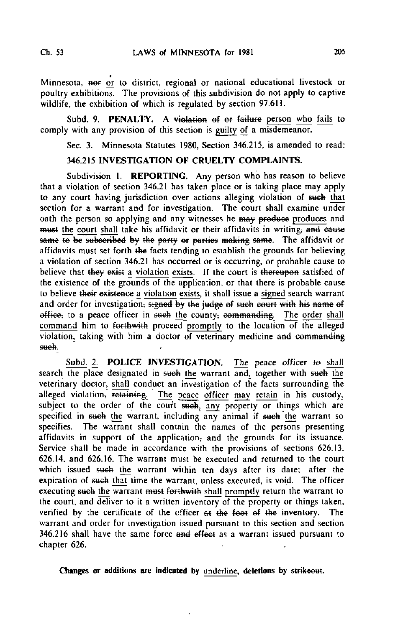Minnesota, nor or to district, regional or national educational livestock or poultry exhibitions. The provisions of this subdivision do not apply to captive wildlife, the exhibition of which is regulated by section 97.611.

Subd. 9. PENALTY. A violation of or failure person who fails to comply with any provision of this section is guilty of a misdemeanor.

Sec. 3. Minnesota Statutes 1980, Section 346.215, is amended to read:

### 346.215 INVESTIGATION OF CRUELTY COMPLAINTS.

Subdivision 1. REPORTING. Any person who has reason to believe that a violation of section 346.21 has taken place or is taking place may apply to any court having jurisdiction over actions alleging violation of sueh that section for a warrant and for investigation. The court shall examine under oath the person so applying and any witnesses he may produce produces and must the court shall take his affidavit or their affidavits in writing; and cause same to be subscribed by the party or parties making same. The affidavit or affidavits must set forth the facts tending to establish the grounds for believing a violation of section 346.21 has occurred or is occurring, or probable cause to believe that they exist a violation exists. If the court is thereupon satisfied of the existence of the grounds of the application, or that there is probable cause to believe their existence a violation exists, it shall issue a signed search warrant and order for investigation, signed by the judge of such court with his name of office, to a peace officer in such the county; commanding. The order shall command him to forthwith proceed promptly to the location of the alleged violation, taking with him a doctor of veterinary medicine and commanding such.

Subd. 2. POLICE INVESTIGATION. The peace officer to shall search the place designated in such the warrant and, together with such the veterinary doctor, shall conduct an investigation of the facts surrounding the alleged violation, retaining. The peace officer may retain in his custody, subject to the order of the court such, any property or things which are specified in such the warrant, including any animal if such the warrant so specifies. The warrant shall contain the names of the persons presenting affidavits in support of the application, and the grounds for its issuance. Service shall be made in accordance with the provisions of sections 626.13, 626.14, and 626.16. The warrant must be executed and returned to the court which issued such the warrant within ten days after its date; after the expiration of such that time the warrant, unless executed, is void. The officer executing such the warrant must forthwith shall promptly return the warrant to the court, and deliver to it a written inventory of the property or things taken, verified by the certificate of the officer at the foot of the inventory. The warrant and order for investigation issued pursuant to this section and section 346.216 shall have the same force and effect as a warrant issued pursuant to chapter 626.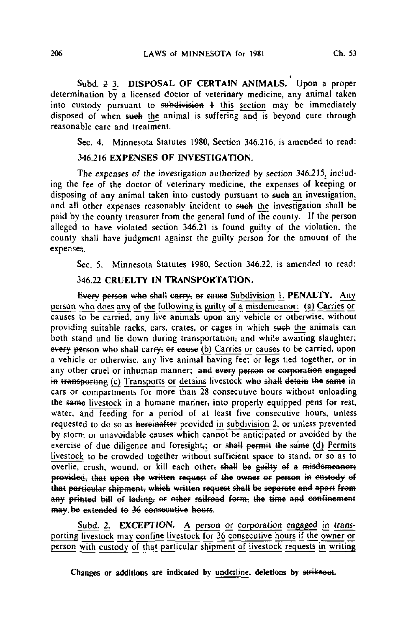Subd. 2 3. DISPOSAL OF CERTAIN ANIMALS. Upon a proper determination by a licensed doctor of veterinary medicine, any animal taken into custody pursuant to subdivision  $\frac{1}{2}$  this section may be immediately disposed of when sweh the animal is suffering and is beyond cure through reasonable care and treatment.

Sec. 4. Minnesota Statutes 1980, Section 346.216, is amended to read:

## 346,216 EXPENSES OF INVESTIGATION.

The expenses of the investigation authorized by section 346.215, including the fee of the doctor of veterinary medicine, the expenses of keeping or disposing of any animal taken into custody pursuant to such an investigation, and all other expenses reasonably incident to such the investigation shall be paid by the county treasurer from the general fund of the county. If the person alleged to have violated section 346.21 is found guilty of the violation, the county shall have judgment against the guilty person for the amount of the expenses.

Sec. 5. Minnesota Statutes 1980, Section 346.22, is amended to read:

## 346.22 CRUELTY IN TRANSPORTATION.

Every person who shall carry, or cause Subdivision I. PENALTY. Any person who does any of the following is guilty of a misdemeanor: (a) Carries or causes to be carried, any live animals upon any vehicle or otherwise, without providing suitable racks, cars, crates, or cages in which such the animals can both stand and lie down during transportation, and while awaiting slaughter; every person who shall carry; or cause (b) Carries or causes to be carried, upon a vehicle or otherwise, any live animal having feet or legs tied together, or in any other cruel or inhuman manner; and every person or corporation engaged in transporting (c) Transports or detains livestock who shall detain the same in cars or compartments for more than 28 consecutive hours without unloading the same livestock in a humane manner, into properly equipped pens for rest, water, and feeding for a period of at least five consecutive hours, unless requested to do so as hereinafter provided in subdivision 2, or unless prevented by storm or unavoidable causes which cannot be anticipated or avoided by the exercise of due diligence and foresight,; or shall permit the same (d) Permits livestock to be crowded together without sufficient space to stand, or so as to overlie, crush, wound, or kill each other<del>, shall be guilty of a misdemeanor;</del> provided, that upon the written request of the owner or person in custody of that particular shipment, which written request shall be separate and apart from any printed bill of lading; or other railroad form, the time and confinement may be extended to 36 consecutive hours.

Subd. 2. **EXCEPTION.** A person or corporation engaged in transporting livestock may confine livestock for 36 consecutive hours if the owner or person with custody of that particular shipment of livestock requests in writing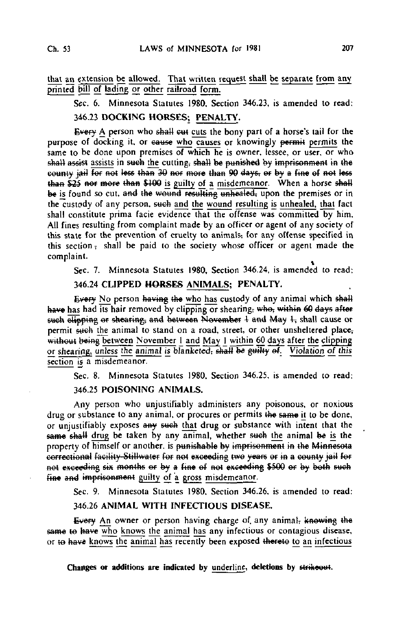that an extension be allowed. That written request shall be separate from any printed bill of lading or other railroad form.

Sec. 6. Minnesota Statutes 1980, Section 346.23, is amended to read:

# 346.23 DOCKING HORSES; PENALTY.

Every A person who shall eut cuts the bony part of a horse's tail for the purpose of docking it, or cause who causes or knowingly permit permits the same to be done upon premises of which he is owner, lessee, or user, or who shall assist assists in such the cutting; shall be punished by imprisonment in the county jail for not less than 30 nor more than 90 days, or by a fine of not less than  $$25$  nor more than \$100 is guilty of a misdemeanor. When a horse shall be is found so cut, and the wound resulting unhealed, upon the premises or in the custody of any person, such and the wound resulting is unhealed, that fact shall constitute prima facie evidence that the offense was committed by him, All fines resulting from complaint made by an officer or agent of any society of this state for the prevention of cruelty to animals, for any offense specified in this section, shall be paid to the society whose officer or agent made the complaint.

Sec. 7. Minnesota Statutes 1980, Section 346.24, is amended to read;

## 346.24 CLIPPED HORSES ANIMALS; PENALTY.

Every No person having the who has custody of any animal which shall have has had its hair removed by clipping or shearing, who, within 60 days after such elipping or shearing, and between November 4 and May 4, shall cause or permit such the animal to stand on a road, street, or other unsheltered place, without being between November 1 and May  $\frac{1}{2}$  within 60 days after the clipping or shearing, unless the animal is blanketed, shall be guilty of. Violation of this section is a misdemeanor.

Sec. 8. Minnesota Statutes 1980, Section 346.25, is amended to read:

#### 346.25 POISONING ANIMALS.

Any person who unjustifiably administers any poisonous, or noxious drug or substance to any animal, or procures or permits the same it to be done, or unjustifiably exposes any such that drug or substance with intent that the same shall drug be taken by any animal, whether such the animal be is the property of himself or another, is punishable by imprisonment in the Minnesota correctional facility Stillwater for not exceeding two years or in a county jail for not exceeding six months or by a fine of not exceeding \$500 or by both such fine and imprisonment guilty of a gross misdemeanor.

Sec. 9. Minnesota Statutes 1980, Section 346.26, is amended to read:

#### 346.26 ANIMAL WITH INFECTIOUS DISEASE.

Every An owner or person having charge of any animal, knowing the same to have who knows the animal has any infectious or contagious disease, or to have knows the animal has recently been exposed thereto to an infectious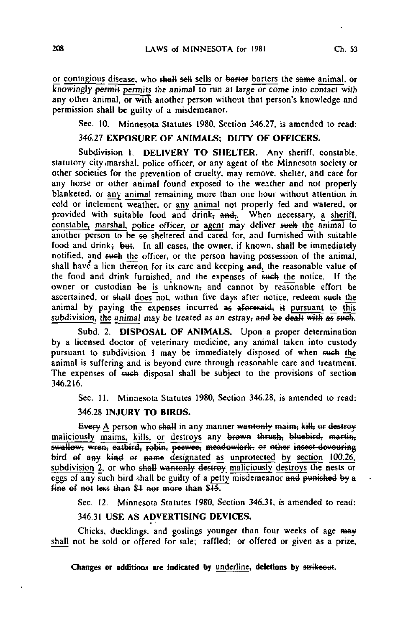or contagious disease, who shall sell sells or barter barters the same animal, or knowingly permit permits the animal to run at large or come into contact with any other animal, or with another person without that person's knowledge and permission shall be guilty of a misdemeanor.

Sec. 10. Minnesota Statutes 1980, Section 346.27, is amended to read:

## 346.27 EXPOSURE OF ANIMALS; DUTY OF OFFICERS.

Subdivision 1. DELIVERY TO SHELTER. Any sheriff, constable, statutory city marshal, police officer, or any agent of the Minnesota society or other societies for the prevention of cruelty, may remove, shelter, and care for any horse or other animal found exposed to the weather and not properly blanketed, or any animal remaining more than one hour without attention in cold or inclement weather, or any animal not properly fed and watered, or provided with suitable food and drink,  $\overline{and}$ . When necessary, a sheriff, constable, marshal, police officer, or agent may deliver such the animal to another person to be so sheltered and cared for, and furnished with suitable food and drink; but. In all cases, the owner, if known, shall be immediately notified, and sueh the officer, or the person having possession of the animal, shall have a lien thereon for its care and keeping and, the reasonable value of the food and drink furnished, and the expenses of such the notice. If the owner or custodian be is unknown, and cannot by reasonable effort be ascertained, or shall does not, within five days after notice, redeem such the animal by paying the expenses incurred as aforesaid, it pursuant to this subdivision, the animal may be treated as an estray, and be dealt with as such.

Subd. 2. DISPOSAL OF ANIMALS. Upon a proper determination by a licensed doctor of veterinary medicine, any animal taken into custody pursuant to subdivision 1 may be immediately disposed of when such the animal is suffering and is beyond cure through reasonable care and treatment. The expenses of such disposal shall be subject to the provisions of section 346.216.

Sec. 11. Minnesota Statutes 1980, Section 346.28, is amended to read:

## 346.28 INJURY TO BIRDS.

Every A person who shall in any manner wantonly maim, kill, or destroy maliciously maims, kills, or destroys any brown thrush, bluebird, martin, swallow, wren, catbird, robin, peewee, meadowlark, or other insect-devouring bird of any kind or name designated as unprotected by section 100.26. subdivision 2, or who shall wantonly destroy maliciously destroys the nests or eggs of any such bird shall be guilty of a petty misdemeanor and punished by a fine of not less than  $$1$  nor more than  $$15$ .

Sec. 12. Minnesota Statutes 1980, Section 346.31, is amended to read:

# 346.31 USE AS ADVERTISING DEVICES.

Chicks, ducklings, and goslings younger than four weeks of age may shall not be sold or offered for sale; raffled; or offered or given as a prize,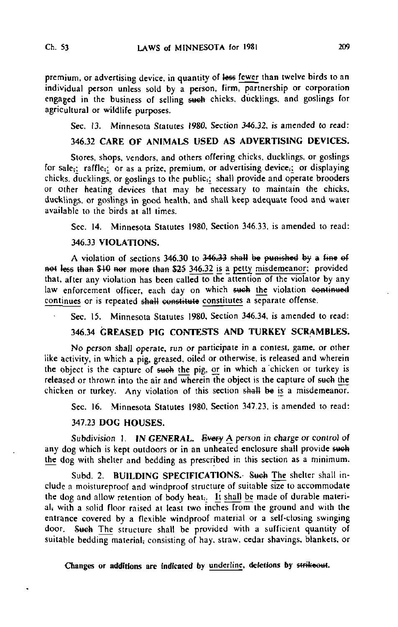premium, or advertising device, in quantity of less fewer than twelve birds to an individual person unless sold by a person, firm, partnership or corporation engaged in the business of selling sueh chicks, ducklings, and goslings for agricultural or wildlife purposes.

Sec. 13. Minnesota Statutes 1980, Section 346.32, is amended to read:

# 346.32 CARE OF ANIMALS USED AS ADVERTISING DEVICES.

Stores, shops, vendors, and others offering chicks, ducklings, or goslings for sale;; raffle<sub>5</sub> or as a prize, premium, or advertising device;; or displaying chicks, ducklings, or goslings to the public<sub>i</sub>; shall provide and operate brooders or other heating devices that may be necessary to maintain the chicks, ducklings, or goslings in good health, and shall keep adequate food and water available to the birds at all times.

Sec. 14. Minnesota Statutes 1980, Section 346.33, is amended to read:

## 346.33 VIOLATIONS.

A violation of sections 346.30 to 346.33 sha4J be punished by a fine ef not less than \$10 nor more than \$25 346.32 is a petty misdemeanor; provided that, after any violation has been called to the attention of the violator by any law enforcement officer, each day on which such the violation continued continues or is repeated shall constitute constitutes a separate offense.

Sec. 15. Minnesota Statutes 1980, Section 346.34, is amended to read:

# 346.34 GREASED PIG CONTESTS AND TURKEY SCRAMBLES.

No person shall operate, run or participate in a contest, game, or other like activity, in which a pig, greased, oiled or otherwise, is released and wherein the object is the capture of such the pig, or in which a chicken or turkey is released or thrown into the air and wherein the object is the capture of such the chicken or turkey. Any violation of this section shall be is a misdemeanor.

Sec. 16. Minnesota Statutes 1980, Section 347.23. is amended to read:

## 347.23 DOG HOUSES.

Subdivision 1. IN GENERAL. Every  $\underline{A}$  person in charge or control of any dog which is kept outdoors or in an unheated enclosure shall provide such the dog with shelter and bedding as prescribed in this section as a minimum.

Subd. 2. BUILDING SPECIFICATIONS. Such The shelter shall include a moistureproof and windproof structure of suitable size to accommodate the dog and allow retention of body heat;. It shall be made of durable material, with a solid floor raised at least two inches from the ground and with the entrance covered by a flexible windproof material or a self-closing swinging door. Such The structure shall be provided with a sufficient quantity of suitable bedding material; consisting of hay. straw, cedar shavings, blankets, or